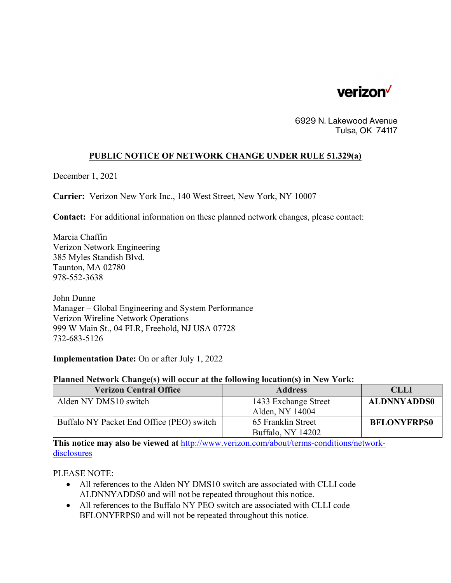

6929 N. Lakewood Avenue Tulsa, OK 74117

## **PUBLIC NOTICE OF NETWORK CHANGE UNDER RULE 51.329(a)**

December 1, 2021

**Carrier:** Verizon New York Inc., 140 West Street, New York, NY 10007

**Contact:** For additional information on these planned network changes, please contact:

Marcia Chaffin Verizon Network Engineering 385 Myles Standish Blvd. Taunton, MA 02780 978-552-3638

John Dunne Manager – Global Engineering and System Performance Verizon Wireline Network Operations 999 W Main St., 04 FLR, Freehold, NJ USA 07728 732-683-5126

**Implementation Date:** On or after July 1, 2022

## **Planned Network Change(s) will occur at the following location(s) in New York:**

| <b>Verizon Central Office</b>             | <b>Address</b>                          | <b>CLLI</b>        |
|-------------------------------------------|-----------------------------------------|--------------------|
| Alden NY DMS10 switch                     | 1433 Exchange Street<br>Alden, NY 14004 | <b>ALDNNYADDS0</b> |
| Buffalo NY Packet End Office (PEO) switch | 65 Franklin Street<br>Buffalo, NY 14202 | <b>BFLONYFRPS0</b> |

**This notice may also be viewed at** http://www.verizon.com/about/terms-conditions/networkdisclosures

PLEASE NOTE:

- All references to the Alden NY DMS10 switch are associated with CLLI code ALDNNYADDS0 and will not be repeated throughout this notice.
- All references to the Buffalo NY PEO switch are associated with CLLI code BFLONYFRPS0 and will not be repeated throughout this notice.